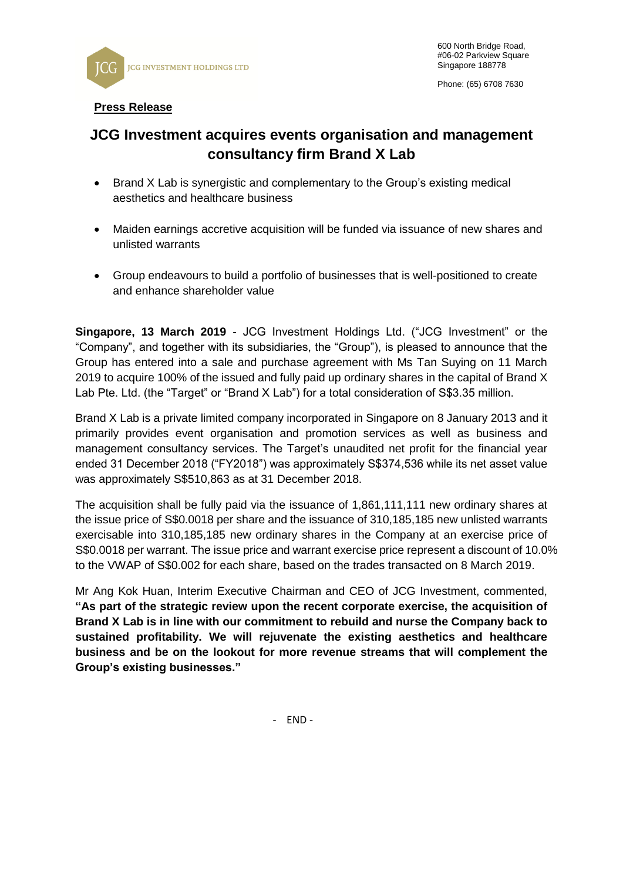

## **Press Release**

## **JCG Investment acquires events organisation and management consultancy firm Brand X Lab**

- Brand X Lab is synergistic and complementary to the Group's existing medical aesthetics and healthcare business
- Maiden earnings accretive acquisition will be funded via issuance of new shares and unlisted warrants
- Group endeavours to build a portfolio of businesses that is well-positioned to create and enhance shareholder value

**Singapore, 13 March 2019** - JCG Investment Holdings Ltd. ("JCG Investment" or the "Company", and together with its subsidiaries, the "Group"), is pleased to announce that the Group has entered into a sale and purchase agreement with Ms Tan Suying on 11 March 2019 to acquire 100% of the issued and fully paid up ordinary shares in the capital of Brand X Lab Pte. Ltd. (the "Target" or "Brand X Lab") for a total consideration of S\$3.35 million.

Brand X Lab is a private limited company incorporated in Singapore on 8 January 2013 and it primarily provides event organisation and promotion services as well as business and management consultancy services. The Target's unaudited net profit for the financial year ended 31 December 2018 ("FY2018") was approximately S\$374,536 while its net asset value was approximately S\$510,863 as at 31 December 2018.

The acquisition shall be fully paid via the issuance of 1,861,111,111 new ordinary shares at the issue price of S\$0.0018 per share and the issuance of 310,185,185 new unlisted warrants exercisable into 310,185,185 new ordinary shares in the Company at an exercise price of S\$0.0018 per warrant. The issue price and warrant exercise price represent a discount of 10.0% to the VWAP of S\$0.002 for each share, based on the trades transacted on 8 March 2019.

Mr Ang Kok Huan, Interim Executive Chairman and CEO of JCG Investment, commented, **"As part of the strategic review upon the recent corporate exercise, the acquisition of Brand X Lab is in line with our commitment to rebuild and nurse the Company back to sustained profitability. We will rejuvenate the existing aesthetics and healthcare business and be on the lookout for more revenue streams that will complement the Group's existing businesses."**

- END -